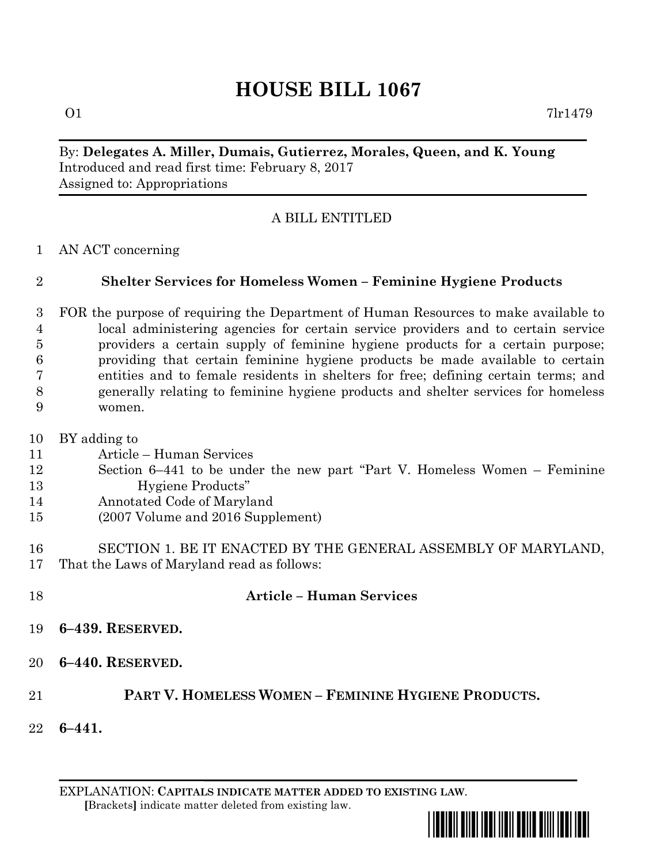# **HOUSE BILL 1067**

By: **Delegates A. Miller, Dumais, Gutierrez, Morales, Queen, and K. Young** Introduced and read first time: February 8, 2017 Assigned to: Appropriations

### A BILL ENTITLED

AN ACT concerning

### **Shelter Services for Homeless Women – Feminine Hygiene Products**

- FOR the purpose of requiring the Department of Human Resources to make available to local administering agencies for certain service providers and to certain service providers a certain supply of feminine hygiene products for a certain purpose; providing that certain feminine hygiene products be made available to certain entities and to female residents in shelters for free; defining certain terms; and generally relating to feminine hygiene products and shelter services for homeless women.
- BY adding to
- Article Human Services
- Section 6–441 to be under the new part "Part V. Homeless Women Feminine Hygiene Products"
- Annotated Code of Maryland
- (2007 Volume and 2016 Supplement)
- SECTION 1. BE IT ENACTED BY THE GENERAL ASSEMBLY OF MARYLAND, That the Laws of Maryland read as follows:
- 

#### **Article – Human Services**

- **6–439. RESERVED.**
- **6–440. RESERVED.**

## **PART V. HOMELESS WOMEN – FEMININE HYGIENE PRODUCTS.**

**6–441.**

EXPLANATION: **CAPITALS INDICATE MATTER ADDED TO EXISTING LAW**.  **[**Brackets**]** indicate matter deleted from existing law.